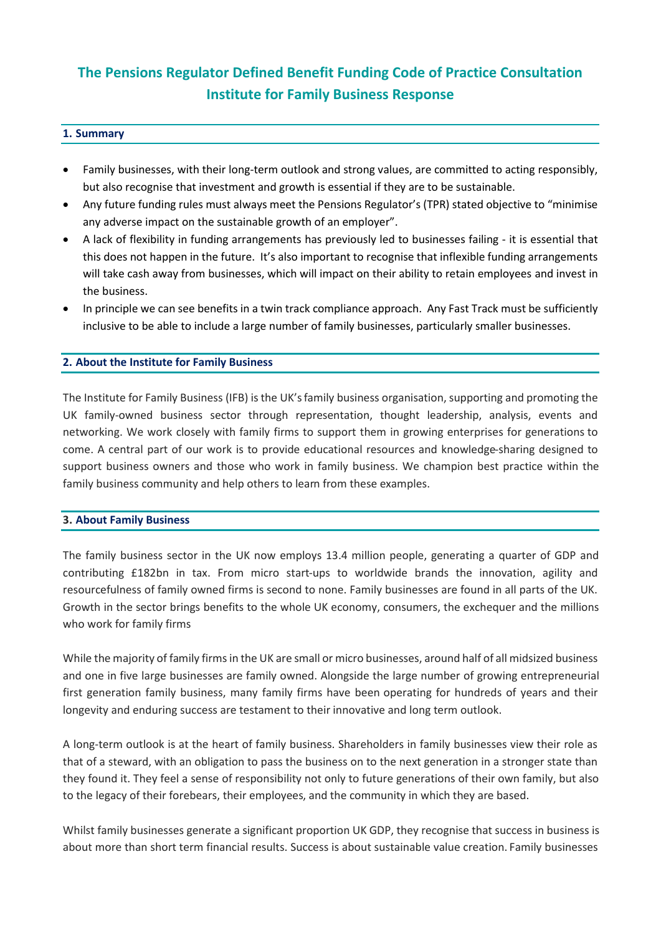# **The Pensions Regulator Defined Benefit Funding Code of Practice Consultation Institute for Family Business Response**

## **1. Summary**

- Family businesses, with their long-term outlook and strong values, are committed to acting responsibly, but also recognise that investment and growth is essential if they are to be sustainable.
- Any future funding rules must always meet the Pensions Regulator's (TPR) stated objective to "minimise any adverse impact on the sustainable growth of an employer".
- A lack of flexibility in funding arrangements has previously led to businesses failing it is essential that this does not happen in the future. It's also important to recognise that inflexible funding arrangements will take cash away from businesses, which will impact on their ability to retain employees and invest in the business.
- In principle we can see benefits in a twin track compliance approach. Any Fast Track must be sufficiently inclusive to be able to include a large number of family businesses, particularly smaller businesses.

# **2. About the Institute for Family Business**

The Institute for Family Business (IFB) is the UK's family business organisation, supporting and promoting the UK family-owned business sector through representation, thought leadership, analysis, events and networking. We work closely with family firms to support them in growing enterprises for generations to come. A central part of our work is to provide educational resources and knowledge-sharing designed to support business owners and those who work in family business. We champion best practice within the family business community and help others to learn from these examples.

### **3. About Family Business**

The family business sector in the UK now employs 13.4 million people, generating a quarter of GDP and contributing £182bn in tax. From micro start-ups to worldwide brands the innovation, agility and resourcefulness of family owned firms is second to none. Family businesses are found in all parts of the UK. Growth in the sector brings benefits to the whole UK economy, consumers, the exchequer and the millions who work for family firms

While the majority of family firms in the UK are small or micro businesses, around half of all midsized business and one in five large businesses are family owned. Alongside the large number of growing entrepreneurial first generation family business, many family firms have been operating for hundreds of years and their longevity and enduring success are testament to their innovative and long term outlook.

A long-term outlook is at the heart of family business. Shareholders in family businesses view their role as that of a steward, with an obligation to pass the business on to the next generation in a stronger state than they found it. They feel a sense of responsibility not only to future generations of their own family, but also to the legacy of their forebears, their employees, and the community in which they are based.

Whilst family businesses generate a significant proportion UK GDP, they recognise that success in business is about more than short term financial results. Success is about sustainable value creation. Family businesses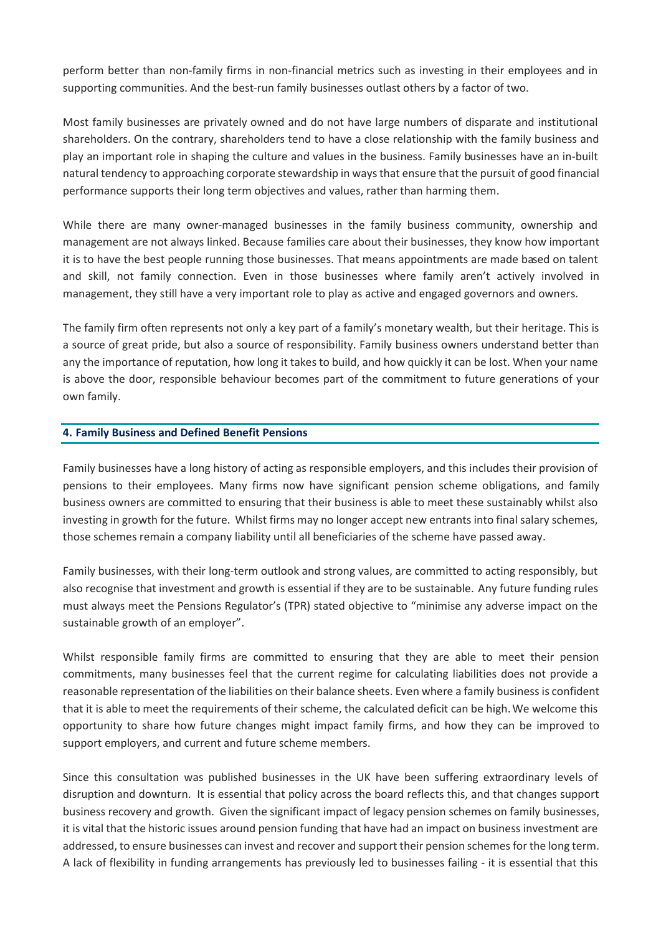perform better than non-family firms in non-financial metrics such as investing in their employees and in supporting communities. And the best-run family businesses outlast others by a factor of two.

Most family businesses are privately owned and do not have large numbers of disparate and institutional shareholders. On the contrary, shareholders tend to have a close relationship with the family business and play an important role in shaping the culture and values in the business. Family businesses have an in-built natural tendency to approaching corporate stewardship in ways that ensure that the pursuit of good financial performance supports their long term objectives and values, rather than harming them.

While there are many owner-managed businesses in the family business community, ownership and management are not always linked. Because families care about their businesses, they know how important it is to have the best people running those businesses. That means appointments are made based on talent and skill, not family connection. Even in those businesses where family aren't actively involved in management, they still have a very important role to play as active and engaged governors and owners.

The family firm often represents not only a key part of a family's monetary wealth, but their heritage. This is a source of great pride, but also a source of responsibility. Family business owners understand better than any the importance of reputation, how long it takes to build, and how quickly it can be lost. When your name is above the door, responsible behaviour becomes part of the commitment to future generations of your own family.

## **4. Family Business and Defined Benefit Pensions**

Family businesses have a long history of acting as responsible employers, and this includes their provision of pensions to their employees. Many firms now have significant pension scheme obligations, and family business owners are committed to ensuring that their business is able to meet these sustainably whilst also investing in growth for the future. Whilst firms may no longer accept new entrants into final salary schemes, those schemes remain a company liability until all beneficiaries of the scheme have passed away.

Family businesses, with their long-term outlook and strong values, are committed to acting responsibly, but also recognise that investment and growth is essential if they are to be sustainable. Any future funding rules must always meet the Pensions Regulator's (TPR) stated objective to "minimise any adverse impact on the sustainable growth of an employer".

Whilst responsible family firms are committed to ensuring that they are able to meet their pension commitments, many businesses feel that the current regime for calculating liabilities does not provide a reasonable representation of the liabilities on their balance sheets. Even where a family business is confident that it is able to meet the requirements of their scheme, the calculated deficit can be high. We welcome this opportunity to share how future changes might impact family firms, and how they can be improved to support employers, and current and future scheme members.

Since this consultation was published businesses in the UK have been suffering extraordinary levels of disruption and downturn. It is essential that policy across the board reflects this, and that changes support business recovery and growth. Given the significant impact of legacy pension schemes on family businesses, it is vital that the historic issues around pension funding that have had an impact on business investment are addressed, to ensure businesses can invest and recover and support their pension schemes for the long term. A lack of flexibility in funding arrangements has previously led to businesses failing - it is essential that this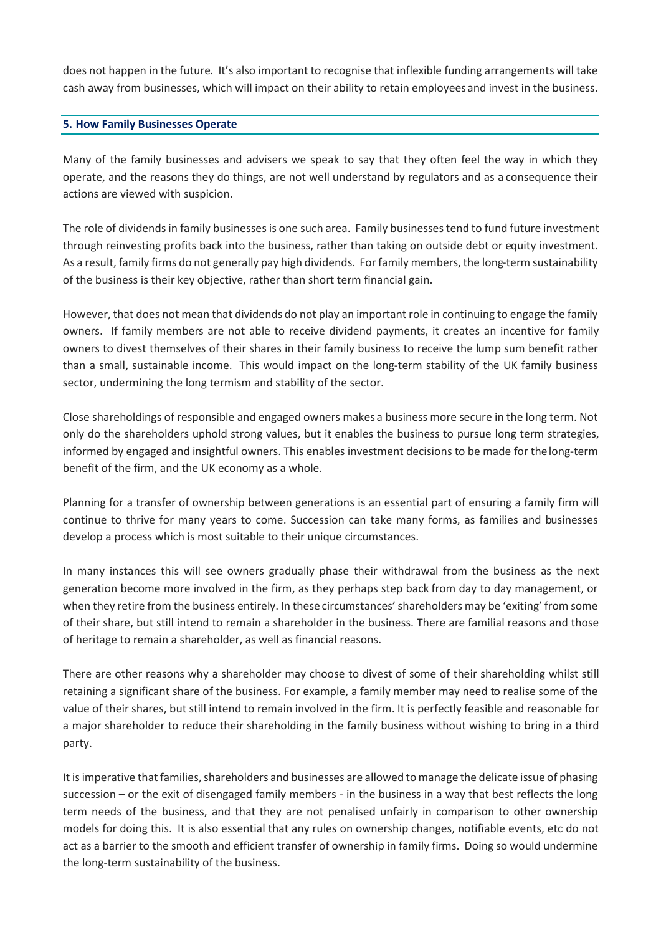does not happen in the future. It's also important to recognise that inflexible funding arrangements will take cash away from businesses, which will impact on their ability to retain employeesand invest in the business.

### **5. How Family Businesses Operate**

Many of the family businesses and advisers we speak to say that they often feel the way in which they operate, and the reasons they do things, are not well understand by regulators and as a consequence their actions are viewed with suspicion.

The role of dividends in family businesses is one such area. Family businesses tend to fund future investment through reinvesting profits back into the business, rather than taking on outside debt or equity investment. As a result, family firms do not generally pay high dividends. For family members, the long-term sustainability of the business is their key objective, rather than short term financial gain.

However, that does not mean that dividends do not play an important role in continuing to engage the family owners. If family members are not able to receive dividend payments, it creates an incentive for family owners to divest themselves of their shares in their family business to receive the lump sum benefit rather than a small, sustainable income. This would impact on the long-term stability of the UK family business sector, undermining the long termism and stability of the sector.

Close shareholdings of responsible and engaged owners makes a business more secure in the long term. Not only do the shareholders uphold strong values, but it enables the business to pursue long term strategies, informed by engaged and insightful owners. This enables investment decisions to be made for the long-term benefit of the firm, and the UK economy as a whole.

Planning for a transfer of ownership between generations is an essential part of ensuring a family firm will continue to thrive for many years to come. Succession can take many forms, as families and businesses develop a process which is most suitable to their unique circumstances.

In many instances this will see owners gradually phase their withdrawal from the business as the next generation become more involved in the firm, as they perhaps step back from day to day management, or when they retire from the business entirely. In these circumstances'shareholders may be 'exiting' from some of their share, but still intend to remain a shareholder in the business. There are familial reasons and those of heritage to remain a shareholder, as well as financial reasons.

There are other reasons why a shareholder may choose to divest of some of their shareholding whilst still retaining a significant share of the business. For example, a family member may need to realise some of the value of their shares, but still intend to remain involved in the firm. It is perfectly feasible and reasonable for a major shareholder to reduce their shareholding in the family business without wishing to bring in a third party.

It is imperative that families, shareholders and businesses are allowed to manage the delicate issue of phasing succession – or the exit of disengaged family members - in the business in a way that best reflects the long term needs of the business, and that they are not penalised unfairly in comparison to other ownership models for doing this. It is also essential that any rules on ownership changes, notifiable events, etc do not act as a barrier to the smooth and efficient transfer of ownership in family firms. Doing so would undermine the long-term sustainability of the business.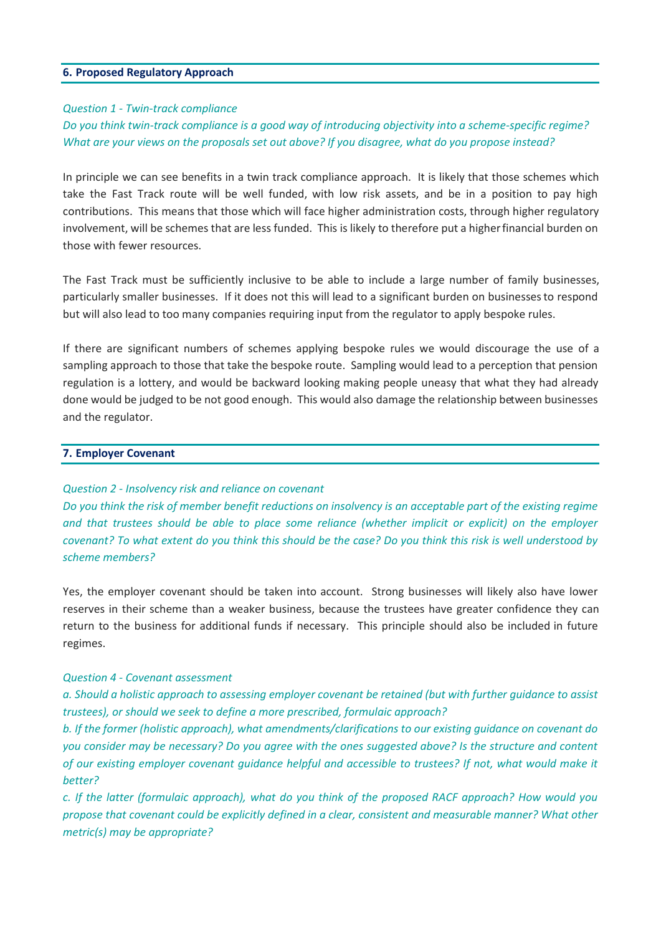### **6. Proposed Regulatory Approach**

### *Question 1 - Twin-track compliance*

# *Do you think twin-track compliance is a good way of introducing objectivity into a scheme-specific regime? What are your views on the proposals set out above? If you disagree, what do you propose instead?*

In principle we can see benefits in a twin track compliance approach. It is likely that those schemes which take the Fast Track route will be well funded, with low risk assets, and be in a position to pay high contributions. This means that those which will face higher administration costs, through higher regulatory involvement, will be schemes that are less funded. This is likely to therefore put a higherfinancial burden on those with fewer resources.

The Fast Track must be sufficiently inclusive to be able to include a large number of family businesses, particularly smaller businesses. If it does not this will lead to a significant burden on businessesto respond but will also lead to too many companies requiring input from the regulator to apply bespoke rules.

If there are significant numbers of schemes applying bespoke rules we would discourage the use of a sampling approach to those that take the bespoke route. Sampling would lead to a perception that pension regulation is a lottery, and would be backward looking making people uneasy that what they had already done would be judged to be not good enough. This would also damage the relationship between businesses and the regulator.

### **7. Employer Covenant**

### *Question 2 - Insolvency risk and reliance on covenant*

*Do you think the risk of member benefit reductions on insolvency is an acceptable part of the existing regime and that trustees should be able to place some reliance (whether implicit or explicit) on the employer covenant? To what extent do you think this should be the case? Do you think this risk is well understood by scheme members?*

Yes, the employer covenant should be taken into account. Strong businesses will likely also have lower reserves in their scheme than a weaker business, because the trustees have greater confidence they can return to the business for additional funds if necessary. This principle should also be included in future regimes.

#### *Question 4 - Covenant assessment*

*a. Should a holistic approach to assessing employer covenant be retained (but with further guidance to assist trustees), or should we seek to define a more prescribed, formulaic approach?*

*b. If the former (holistic approach), what amendments/clarifications to our existing guidance on covenant do you consider may be necessary? Do you agree with the ones suggested above? Is the structure and content of our existing employer covenant guidance helpful and accessible to trustees? If not, what would make it better?*

*c. If the latter (formulaic approach), what do you think of the proposed RACF approach? How would you propose that covenant could be explicitly defined in a clear, consistent and measurable manner? What other metric(s) may be appropriate?*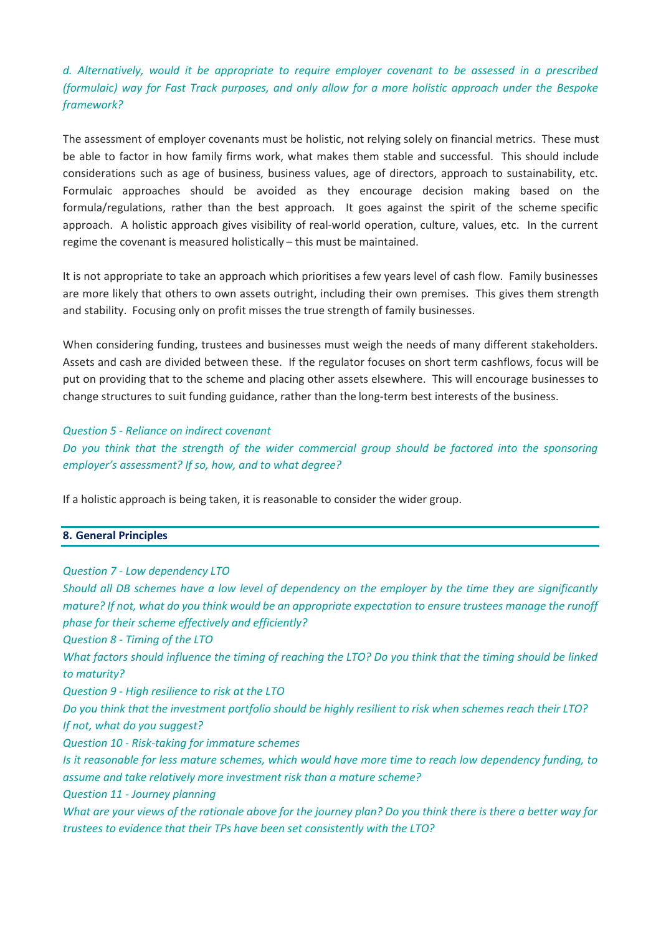# *d. Alternatively, would it be appropriate to require employer covenant to be assessed in a prescribed (formulaic) way for Fast Track purposes, and only allow for a more holistic approach under the Bespoke framework?*

The assessment of employer covenants must be holistic, not relying solely on financial metrics. These must be able to factor in how family firms work, what makes them stable and successful. This should include considerations such as age of business, business values, age of directors, approach to sustainability, etc. Formulaic approaches should be avoided as they encourage decision making based on the formula/regulations, rather than the best approach. It goes against the spirit of the scheme specific approach. A holistic approach gives visibility of real-world operation, culture, values, etc. In the current regime the covenant is measured holistically – this must be maintained.

It is not appropriate to take an approach which prioritises a few years level of cash flow. Family businesses are more likely that others to own assets outright, including their own premises. This gives them strength and stability. Focusing only on profit misses the true strength of family businesses.

When considering funding, trustees and businesses must weigh the needs of many different stakeholders. Assets and cash are divided between these. If the regulator focuses on short term cashflows, focus will be put on providing that to the scheme and placing other assets elsewhere. This will encourage businesses to change structures to suit funding guidance, rather than the long-term best interests of the business.

### *Question 5 - Reliance on indirect covenant*

*Do you think that the strength of the wider commercial group should be factored into the sponsoring employer's assessment? If so, how, and to what degree?*

If a holistic approach is being taken, it is reasonable to consider the wider group.

#### **8. General Principles**

#### *Question 7 - Low dependency LTO*

*Should all DB schemes have a low level of dependency on the employer by the time they are significantly mature? If not, what do you think would be an appropriate expectation to ensure trustees manage the runoff phase for their scheme effectively and efficiently? Question 8 - Timing of the LTO*

*What factors should influence the timing of reaching the LTO? Do you think that the timing should be linked to maturity?*

*Question 9 - High resilience to risk at the LTO*

*Do you think that the investment portfolio should be highly resilient to risk when schemes reach their LTO? If not, what do you suggest?*

*Question 10 - Risk-taking for immature schemes*

*Is it reasonable for less mature schemes, which would have more time to reach low dependency funding, to assume and take relatively more investment risk than a mature scheme?*

*Question 11 - Journey planning*

*What are your views of the rationale above for the journey plan? Do you think there is there a better way for trustees to evidence that their TPs have been set consistently with the LTO?*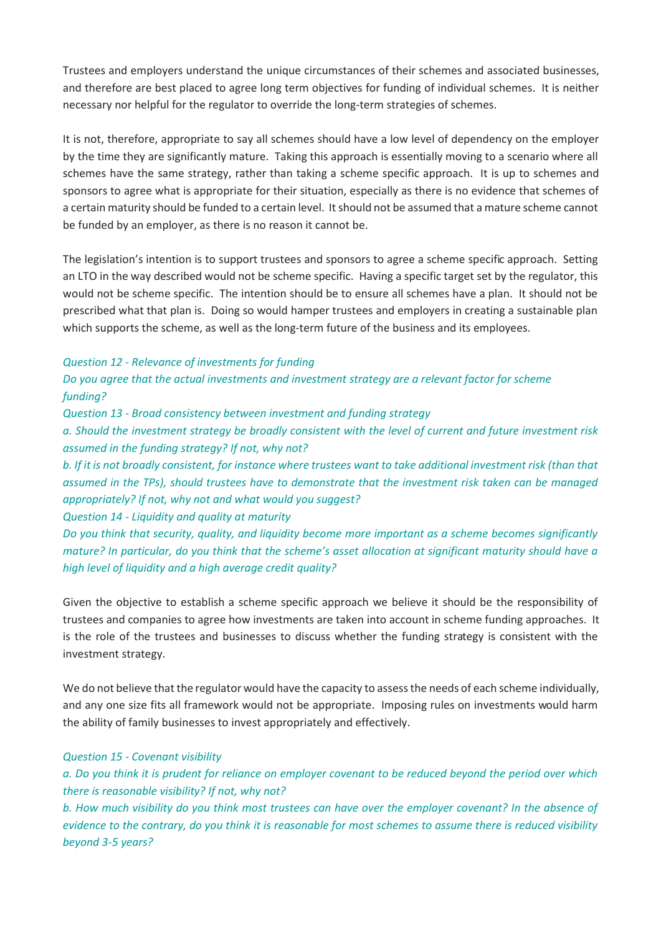Trustees and employers understand the unique circumstances of their schemes and associated businesses, and therefore are best placed to agree long term objectives for funding of individual schemes. It is neither necessary nor helpful for the regulator to override the long-term strategies of schemes.

It is not, therefore, appropriate to say all schemes should have a low level of dependency on the employer by the time they are significantly mature. Taking this approach is essentially moving to a scenario where all schemes have the same strategy, rather than taking a scheme specific approach. It is up to schemes and sponsors to agree what is appropriate for their situation, especially as there is no evidence that schemes of a certain maturity should be funded to a certain level. It should not be assumed that a mature scheme cannot be funded by an employer, as there is no reason it cannot be.

The legislation's intention is to support trustees and sponsors to agree a scheme specific approach. Setting an LTO in the way described would not be scheme specific. Having a specific target set by the regulator, this would not be scheme specific. The intention should be to ensure all schemes have a plan. It should not be prescribed what that plan is. Doing so would hamper trustees and employers in creating a sustainable plan which supports the scheme, as well as the long-term future of the business and its employees.

*Question 12 - Relevance of investments for funding*

*Do you agree that the actual investments and investment strategy are a relevant factor for scheme funding?*

*Question 13 - Broad consistency between investment and funding strategy*

*a. Should the investment strategy be broadly consistent with the level of current and future investment risk assumed in the funding strategy? If not, why not?*

*b. If it is not broadly consistent, for instance where trustees want to take additional investment risk (than that assumed in the TPs), should trustees have to demonstrate that the investment risk taken can be managed appropriately? If not, why not and what would you suggest?*

*Question 14 - Liquidity and quality at maturity*

*Do you think that security, quality, and liquidity become more important as a scheme becomes significantly mature? In particular, do you think that the scheme's asset allocation at significant maturity should have a high level of liquidity and a high average credit quality?*

Given the objective to establish a scheme specific approach we believe it should be the responsibility of trustees and companies to agree how investments are taken into account in scheme funding approaches. It is the role of the trustees and businesses to discuss whether the funding strategy is consistent with the investment strategy.

We do not believe that the regulator would have the capacity to assess the needs of each scheme individually, and any one size fits all framework would not be appropriate. Imposing rules on investments would harm the ability of family businesses to invest appropriately and effectively.

# *Question 15 - Covenant visibility*

*a. Do you think it is prudent for reliance on employer covenant to be reduced beyond the period over which there is reasonable visibility? If not, why not?*

*b. How much visibility do you think most trustees can have over the employer covenant? In the absence of evidence to the contrary, do you think it is reasonable for most schemes to assume there is reduced visibility beyond 3-5 years?*